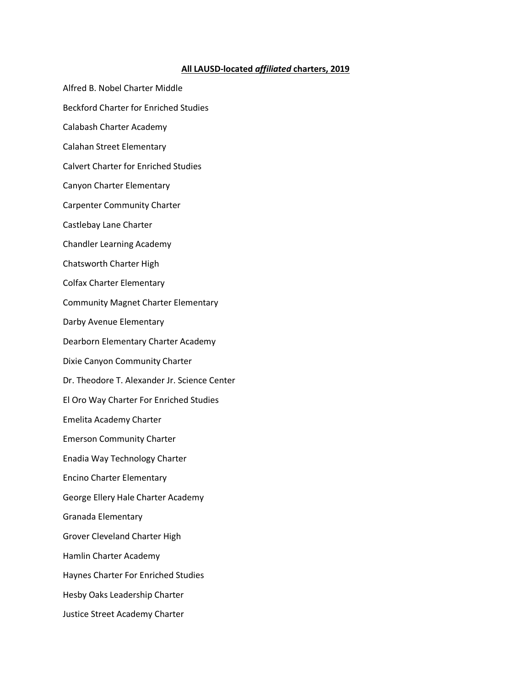## **All LAUSD-located** *affiliated* **charters, 2019**

- Alfred B. Nobel Charter Middle
- Beckford Charter for Enriched Studies
- Calabash Charter Academy
- Calahan Street Elementary
- Calvert Charter for Enriched Studies
- Canyon Charter Elementary
- Carpenter Community Charter
- Castlebay Lane Charter
- Chandler Learning Academy
- Chatsworth Charter High
- Colfax Charter Elementary
- Community Magnet Charter Elementary
- Darby Avenue Elementary
- Dearborn Elementary Charter Academy
- Dixie Canyon Community Charter
- Dr. Theodore T. Alexander Jr. Science Center
- El Oro Way Charter For Enriched Studies
- Emelita Academy Charter
- Emerson Community Charter
- Enadia Way Technology Charter
- Encino Charter Elementary
- George Ellery Hale Charter Academy
- Granada Elementary
- Grover Cleveland Charter High
- Hamlin Charter Academy
- Haynes Charter For Enriched Studies
- Hesby Oaks Leadership Charter
- Justice Street Academy Charter